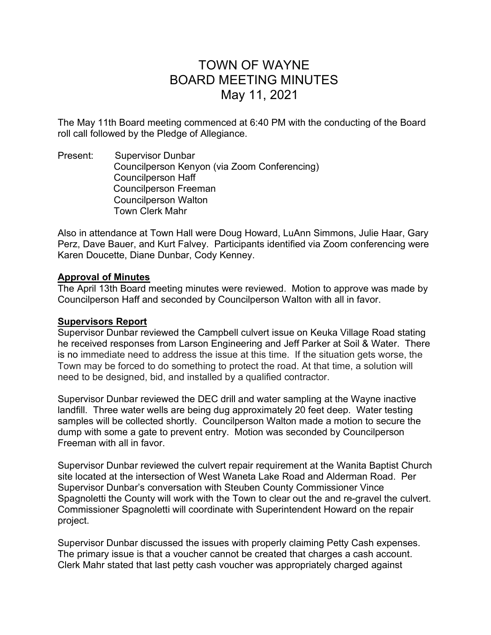# TOWN OF WAYNE BOARD MEETING MINUTES May 11, 2021

The May 11th Board meeting commenced at 6:40 PM with the conducting of the Board roll call followed by the Pledge of Allegiance.

Present: Supervisor Dunbar Councilperson Kenyon (via Zoom Conferencing) Councilperson Haff Councilperson Freeman Councilperson Walton Town Clerk Mahr

Also in attendance at Town Hall were Doug Howard, LuAnn Simmons, Julie Haar, Gary Perz, Dave Bauer, and Kurt Falvey. Participants identified via Zoom conferencing were Karen Doucette, Diane Dunbar, Cody Kenney.

### Approval of Minutes

The April 13th Board meeting minutes were reviewed. Motion to approve was made by Councilperson Haff and seconded by Councilperson Walton with all in favor.

# Supervisors Report

Supervisor Dunbar reviewed the Campbell culvert issue on Keuka Village Road stating he received responses from Larson Engineering and Jeff Parker at Soil & Water. There is no immediate need to address the issue at this time. If the situation gets worse, the Town may be forced to do something to protect the road. At that time, a solution will need to be designed, bid, and installed by a qualified contractor.

Supervisor Dunbar reviewed the DEC drill and water sampling at the Wayne inactive landfill. Three water wells are being dug approximately 20 feet deep. Water testing samples will be collected shortly. Councilperson Walton made a motion to secure the dump with some a gate to prevent entry. Motion was seconded by Councilperson Freeman with all in favor.

Supervisor Dunbar reviewed the culvert repair requirement at the Wanita Baptist Church site located at the intersection of West Waneta Lake Road and Alderman Road. Per Supervisor Dunbar's conversation with Steuben County Commissioner Vince Spagnoletti the County will work with the Town to clear out the and re-gravel the culvert. Commissioner Spagnoletti will coordinate with Superintendent Howard on the repair project.

Supervisor Dunbar discussed the issues with properly claiming Petty Cash expenses. The primary issue is that a voucher cannot be created that charges a cash account. Clerk Mahr stated that last petty cash voucher was appropriately charged against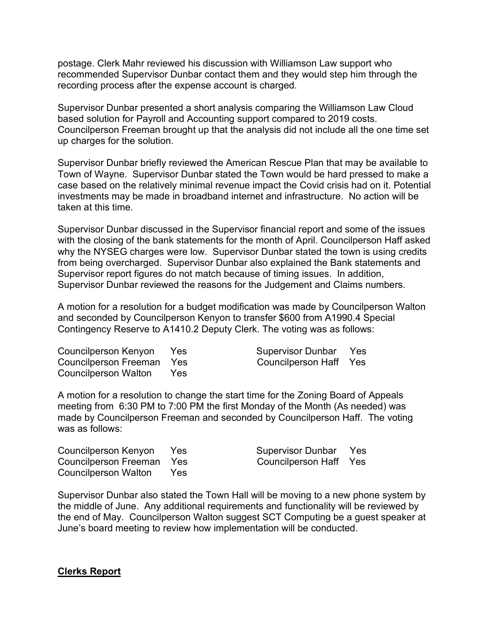postage. Clerk Mahr reviewed his discussion with Williamson Law support who recommended Supervisor Dunbar contact them and they would step him through the recording process after the expense account is charged.

Supervisor Dunbar presented a short analysis comparing the Williamson Law Cloud based solution for Payroll and Accounting support compared to 2019 costs. Councilperson Freeman brought up that the analysis did not include all the one time set up charges for the solution.

Supervisor Dunbar briefly reviewed the American Rescue Plan that may be available to Town of Wayne. Supervisor Dunbar stated the Town would be hard pressed to make a case based on the relatively minimal revenue impact the Covid crisis had on it. Potential investments may be made in broadband internet and infrastructure. No action will be taken at this time.

Supervisor Dunbar discussed in the Supervisor financial report and some of the issues with the closing of the bank statements for the month of April. Councilperson Haff asked why the NYSEG charges were low. Supervisor Dunbar stated the town is using credits from being overcharged. Supervisor Dunbar also explained the Bank statements and Supervisor report figures do not match because of timing issues. In addition, Supervisor Dunbar reviewed the reasons for the Judgement and Claims numbers.

A motion for a resolution for a budget modification was made by Councilperson Walton and seconded by Councilperson Kenyon to transfer \$600 from A1990.4 Special Contingency Reserve to A1410.2 Deputy Clerk. The voting was as follows:

| Councilperson Kenyon Yes  |      | Supervisor Dunbar Yes  |  |
|---------------------------|------|------------------------|--|
| Councilperson Freeman Yes |      | Councilperson Haff Yes |  |
| Councilperson Walton      | Yes. |                        |  |

A motion for a resolution to change the start time for the Zoning Board of Appeals meeting from 6:30 PM to 7:00 PM the first Monday of the Month (As needed) was made by Councilperson Freeman and seconded by Councilperson Haff. The voting was as follows:

Councilperson Kenyon Yes Supervisor Dunbar Yes Councilperson Freeman Yes Councilperson Haff Yes Councilperson Walton Yes

Supervisor Dunbar also stated the Town Hall will be moving to a new phone system by the middle of June. Any additional requirements and functionality will be reviewed by the end of May. Councilperson Walton suggest SCT Computing be a guest speaker at June's board meeting to review how implementation will be conducted.

#### Clerks Report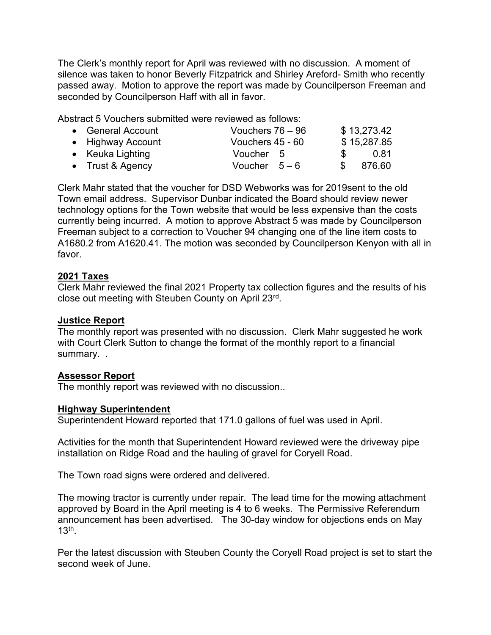The Clerk's monthly report for April was reviewed with no discussion. A moment of silence was taken to honor Beverly Fitzpatrick and Shirley Areford- Smith who recently passed away. Motion to approve the report was made by Councilperson Freeman and seconded by Councilperson Haff with all in favor.

Abstract 5 Vouchers submitted were reviewed as follows:

| • General Account | Vouchers $76 - 96$ |               | \$13,273.42 |
|-------------------|--------------------|---------------|-------------|
| • Highway Account | Vouchers 45 - 60   |               | \$15,287.85 |
| • Keuka Lighting  | Voucher 5          | $\mathcal{S}$ | 0.81        |
| • Trust & Agency  | Voucher $5-6$      | \$.           | 876.60      |

Clerk Mahr stated that the voucher for DSD Webworks was for 2019sent to the old Town email address. Supervisor Dunbar indicated the Board should review newer technology options for the Town website that would be less expensive than the costs currently being incurred. A motion to approve Abstract 5 was made by Councilperson Freeman subject to a correction to Voucher 94 changing one of the line item costs to A1680.2 from A1620.41. The motion was seconded by Councilperson Kenyon with all in favor.

# 2021 Taxes

Clerk Mahr reviewed the final 2021 Property tax collection figures and the results of his close out meeting with Steuben County on April 23rd .

#### Justice Report

The monthly report was presented with no discussion. Clerk Mahr suggested he work with Court Clerk Sutton to change the format of the monthly report to a financial summary..

# Assessor Report

The monthly report was reviewed with no discussion..

# Highway Superintendent

Superintendent Howard reported that 171.0 gallons of fuel was used in April.

Activities for the month that Superintendent Howard reviewed were the driveway pipe installation on Ridge Road and the hauling of gravel for Coryell Road.

The Town road signs were ordered and delivered.

The mowing tractor is currently under repair. The lead time for the mowing attachment approved by Board in the April meeting is 4 to 6 weeks. The Permissive Referendum announcement has been advertised. The 30-day window for objections ends on May  $13<sup>th</sup>$ .

Per the latest discussion with Steuben County the Coryell Road project is set to start the second week of June.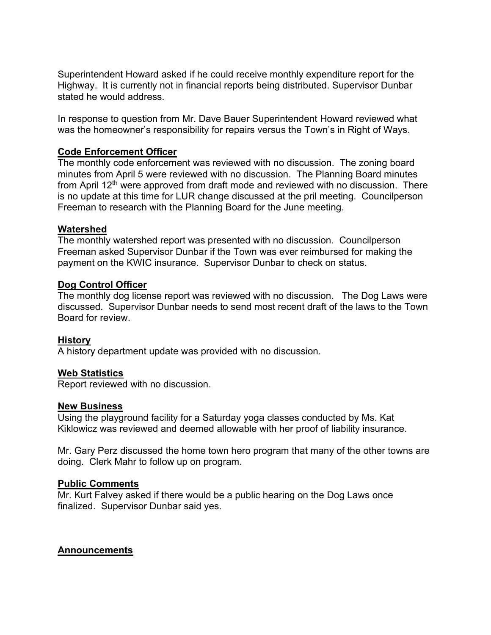Superintendent Howard asked if he could receive monthly expenditure report for the Highway. It is currently not in financial reports being distributed. Supervisor Dunbar stated he would address.

In response to question from Mr. Dave Bauer Superintendent Howard reviewed what was the homeowner's responsibility for repairs versus the Town's in Right of Ways.

# Code Enforcement Officer

The monthly code enforcement was reviewed with no discussion. The zoning board minutes from April 5 were reviewed with no discussion. The Planning Board minutes from April  $12<sup>th</sup>$  were approved from draft mode and reviewed with no discussion. There is no update at this time for LUR change discussed at the pril meeting. Councilperson Freeman to research with the Planning Board for the June meeting.

#### Watershed

The monthly watershed report was presented with no discussion. Councilperson Freeman asked Supervisor Dunbar if the Town was ever reimbursed for making the payment on the KWIC insurance. Supervisor Dunbar to check on status.

#### Dog Control Officer

The monthly dog license report was reviewed with no discussion. The Dog Laws were discussed. Supervisor Dunbar needs to send most recent draft of the laws to the Town Board for review.

#### History

A history department update was provided with no discussion.

#### Web Statistics

Report reviewed with no discussion.

#### New Business

Using the playground facility for a Saturday yoga classes conducted by Ms. Kat Kiklowicz was reviewed and deemed allowable with her proof of liability insurance.

Mr. Gary Perz discussed the home town hero program that many of the other towns are doing. Clerk Mahr to follow up on program.

#### Public Comments

Mr. Kurt Falvey asked if there would be a public hearing on the Dog Laws once finalized. Supervisor Dunbar said yes.

#### **Announcements**